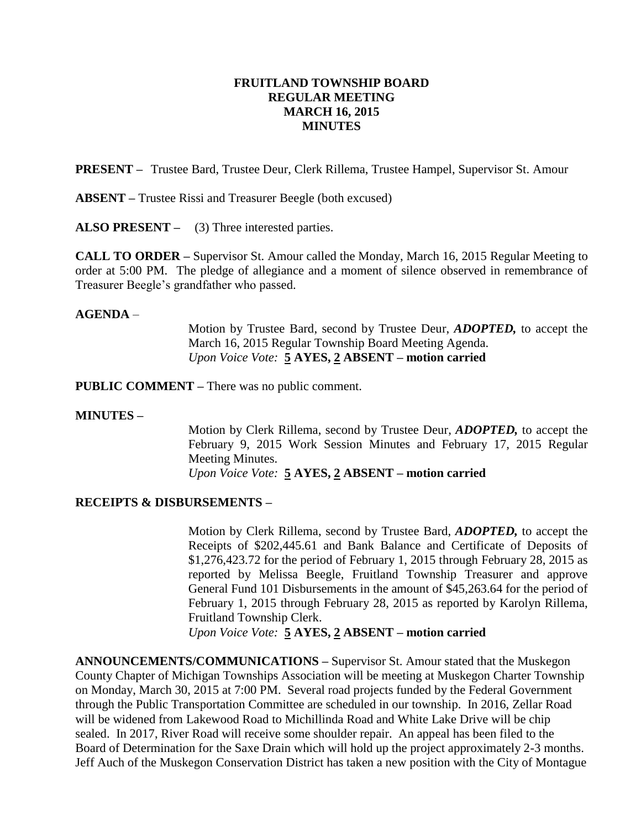## **FRUITLAND TOWNSHIP BOARD REGULAR MEETING MARCH 16, 2015 MINUTES**

**PRESENT –** Trustee Bard, Trustee Deur, Clerk Rillema, Trustee Hampel, Supervisor St. Amour

**ABSENT –** Trustee Rissi and Treasurer Beegle (both excused)

**ALSO PRESENT –** (3) Three interested parties.

**CALL TO ORDER –** Supervisor St. Amour called the Monday, March 16, 2015 Regular Meeting to order at 5:00 PM. The pledge of allegiance and a moment of silence observed in remembrance of Treasurer Beegle's grandfather who passed.

### **AGENDA** –

Motion by Trustee Bard, second by Trustee Deur, *ADOPTED,* to accept the March 16, 2015 Regular Township Board Meeting Agenda. *Upon Voice Vote:* **5 AYES, 2 ABSENT – motion carried**

**PUBLIC COMMENT –** There was no public comment.

### **MINUTES –**

Motion by Clerk Rillema, second by Trustee Deur, *ADOPTED,* to accept the February 9, 2015 Work Session Minutes and February 17, 2015 Regular Meeting Minutes. *Upon Voice Vote:* **5 AYES, 2 ABSENT – motion carried**

### **RECEIPTS & DISBURSEMENTS –**

Motion by Clerk Rillema, second by Trustee Bard, *ADOPTED,* to accept the Receipts of \$202,445.61 and Bank Balance and Certificate of Deposits of \$1,276,423.72 for the period of February 1, 2015 through February 28, 2015 as reported by Melissa Beegle, Fruitland Township Treasurer and approve General Fund 101 Disbursements in the amount of \$45,263.64 for the period of February 1, 2015 through February 28, 2015 as reported by Karolyn Rillema, Fruitland Township Clerk.

*Upon Voice Vote:* **5 AYES, 2 ABSENT – motion carried**

**ANNOUNCEMENTS/COMMUNICATIONS –** Supervisor St. Amour stated that the Muskegon County Chapter of Michigan Townships Association will be meeting at Muskegon Charter Township on Monday, March 30, 2015 at 7:00 PM. Several road projects funded by the Federal Government through the Public Transportation Committee are scheduled in our township. In 2016, Zellar Road will be widened from Lakewood Road to Michillinda Road and White Lake Drive will be chip sealed. In 2017, River Road will receive some shoulder repair. An appeal has been filed to the Board of Determination for the Saxe Drain which will hold up the project approximately 2-3 months. Jeff Auch of the Muskegon Conservation District has taken a new position with the City of Montague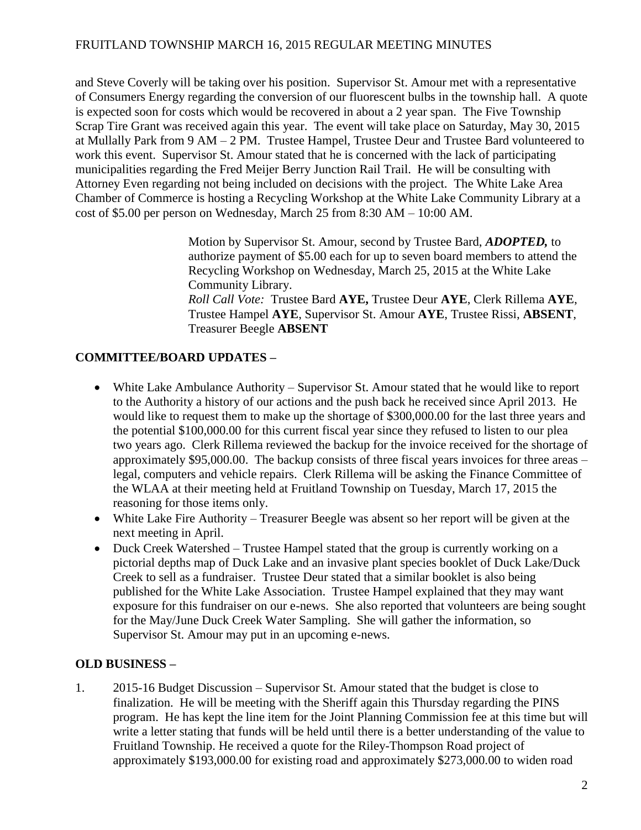and Steve Coverly will be taking over his position. Supervisor St. Amour met with a representative of Consumers Energy regarding the conversion of our fluorescent bulbs in the township hall. A quote is expected soon for costs which would be recovered in about a 2 year span. The Five Township Scrap Tire Grant was received again this year. The event will take place on Saturday, May 30, 2015 at Mullally Park from 9 AM – 2 PM. Trustee Hampel, Trustee Deur and Trustee Bard volunteered to work this event. Supervisor St. Amour stated that he is concerned with the lack of participating municipalities regarding the Fred Meijer Berry Junction Rail Trail. He will be consulting with Attorney Even regarding not being included on decisions with the project. The White Lake Area Chamber of Commerce is hosting a Recycling Workshop at the White Lake Community Library at a cost of \$5.00 per person on Wednesday, March 25 from 8:30 AM – 10:00 AM.

> Motion by Supervisor St. Amour, second by Trustee Bard, *ADOPTED,* to authorize payment of \$5.00 each for up to seven board members to attend the Recycling Workshop on Wednesday, March 25, 2015 at the White Lake Community Library. *Roll Call Vote:* Trustee Bard **AYE,** Trustee Deur **AYE**, Clerk Rillema **AYE**, Trustee Hampel **AYE**, Supervisor St. Amour **AYE**, Trustee Rissi, **ABSENT**, Treasurer Beegle **ABSENT**

## **COMMITTEE/BOARD UPDATES –**

- White Lake Ambulance Authority Supervisor St. Amour stated that he would like to report to the Authority a history of our actions and the push back he received since April 2013. He would like to request them to make up the shortage of \$300,000.00 for the last three years and the potential \$100,000.00 for this current fiscal year since they refused to listen to our plea two years ago. Clerk Rillema reviewed the backup for the invoice received for the shortage of approximately \$95,000.00. The backup consists of three fiscal years invoices for three areas – legal, computers and vehicle repairs. Clerk Rillema will be asking the Finance Committee of the WLAA at their meeting held at Fruitland Township on Tuesday, March 17, 2015 the reasoning for those items only.
- White Lake Fire Authority Treasurer Beegle was absent so her report will be given at the next meeting in April.
- Duck Creek Watershed Trustee Hampel stated that the group is currently working on a pictorial depths map of Duck Lake and an invasive plant species booklet of Duck Lake/Duck Creek to sell as a fundraiser. Trustee Deur stated that a similar booklet is also being published for the White Lake Association. Trustee Hampel explained that they may want exposure for this fundraiser on our e-news. She also reported that volunteers are being sought for the May/June Duck Creek Water Sampling. She will gather the information, so Supervisor St. Amour may put in an upcoming e-news.

## **OLD BUSINESS –**

1. 2015-16 Budget Discussion – Supervisor St. Amour stated that the budget is close to finalization. He will be meeting with the Sheriff again this Thursday regarding the PINS program. He has kept the line item for the Joint Planning Commission fee at this time but will write a letter stating that funds will be held until there is a better understanding of the value to Fruitland Township. He received a quote for the Riley-Thompson Road project of approximately \$193,000.00 for existing road and approximately \$273,000.00 to widen road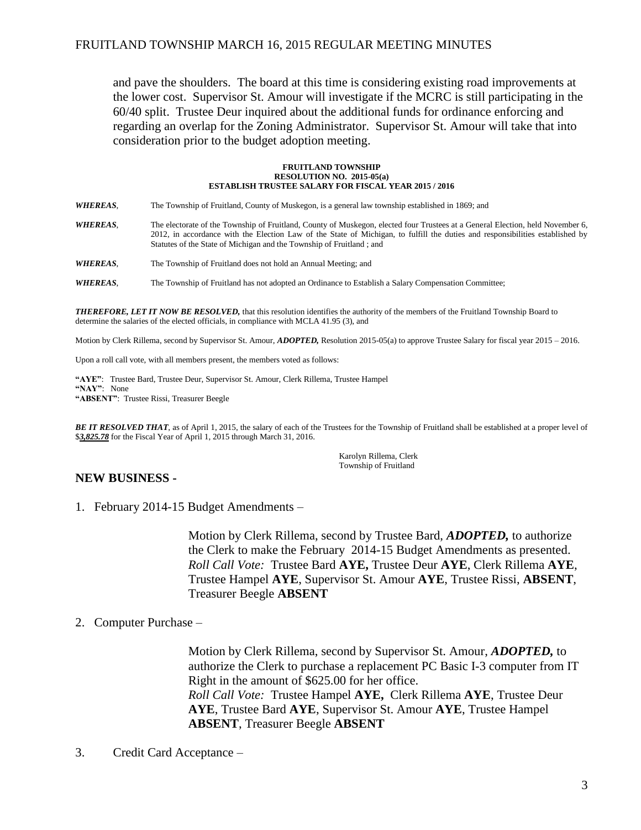and pave the shoulders. The board at this time is considering existing road improvements at the lower cost. Supervisor St. Amour will investigate if the MCRC is still participating in the 60/40 split. Trustee Deur inquired about the additional funds for ordinance enforcing and regarding an overlap for the Zoning Administrator. Supervisor St. Amour will take that into consideration prior to the budget adoption meeting.

#### **FRUITLAND TOWNSHIP RESOLUTION NO. 2015-05(a) ESTABLISH TRUSTEE SALARY FOR FISCAL YEAR 2015 / 2016**

*WHEREAS*, The Township of Fruitland, County of Muskegon, is a general law township established in 1869; and

*WHEREAS*, The electorate of the Township of Fruitland, County of Muskegon, elected four Trustees at a General Election, held November 6, 2012, in accordance with the Election Law of the State of Michigan, to fulfill the duties and responsibilities established by Statutes of the State of Michigan and the Township of Fruitland ; and

*WHEREAS*, The Township of Fruitland does not hold an Annual Meeting; and

*WHEREAS*, The Township of Fruitland has not adopted an Ordinance to Establish a Salary Compensation Committee;

*THEREFORE, LET IT NOW BE RESOLVED,* that this resolution identifies the authority of the members of the Fruitland Township Board to determine the salaries of the elected officials, in compliance with MCLA 41.95 (3), and

Motion by Clerk Rillema, second by Supervisor St. Amour, *ADOPTED,* Resolution 2015-05(a) to approve Trustee Salary for fiscal year 2015 – 2016.

Upon a roll call vote, with all members present, the members voted as follows:

**"AYE"**: Trustee Bard, Trustee Deur, Supervisor St. Amour, Clerk Rillema, Trustee Hampel **"NAY"**: None **"ABSENT"**: Trustee Rissi, Treasurer Beegle

*BE IT RESOLVED THAT*, as of April 1, 2015, the salary of each of the Trustees for the Township of Fruitland shall be established at a proper level of \$*3,825.78* for the Fiscal Year of April 1, 2015 through March 31, 2016.

> Karolyn Rillema, Clerk Township of Fruitland

## **NEW BUSINESS -**

1. February 2014-15 Budget Amendments –

Motion by Clerk Rillema, second by Trustee Bard, *ADOPTED,* to authorize the Clerk to make the February 2014-15 Budget Amendments as presented. *Roll Call Vote:* Trustee Bard **AYE,** Trustee Deur **AYE**, Clerk Rillema **AYE**, Trustee Hampel **AYE**, Supervisor St. Amour **AYE**, Trustee Rissi, **ABSENT**, Treasurer Beegle **ABSENT**

### 2. Computer Purchase –

Motion by Clerk Rillema, second by Supervisor St. Amour, *ADOPTED,* to authorize the Clerk to purchase a replacement PC Basic I-3 computer from IT Right in the amount of \$625.00 for her office. *Roll Call Vote:* Trustee Hampel **AYE,** Clerk Rillema **AYE**, Trustee Deur **AYE**, Trustee Bard **AYE**, Supervisor St. Amour **AYE**, Trustee Hampel **ABSENT**, Treasurer Beegle **ABSENT**

3. Credit Card Acceptance –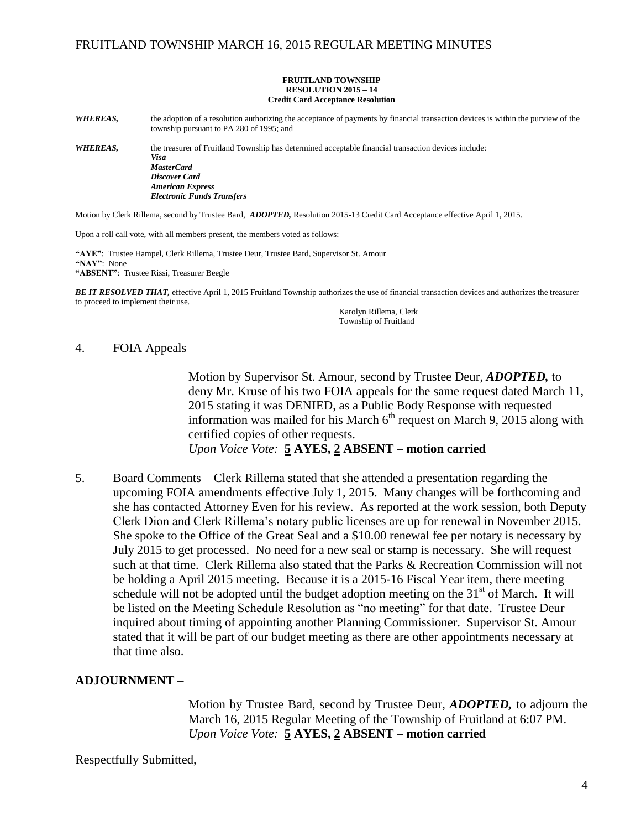#### **FRUITLAND TOWNSHIP RESOLUTION 2015 – 14 Credit Card Acceptance Resolution**

*WHEREAS,* the adoption of a resolution authorizing the acceptance of payments by financial transaction devices is within the purview of the township pursuant to PA 280 of 1995; and

*WHEREAS,* the treasurer of Fruitland Township has determined acceptable financial transaction devices include: *Visa MasterCard Discover Card American Express Electronic Funds Transfers*

Motion by Clerk Rillema, second by Trustee Bard, *ADOPTED,* Resolution 2015-13 Credit Card Acceptance effective April 1, 2015.

Upon a roll call vote, with all members present, the members voted as follows:

**"AYE"**: Trustee Hampel, Clerk Rillema, Trustee Deur, Trustee Bard, Supervisor St. Amour **"NAY"**: None **"ABSENT"**: Trustee Rissi, Treasurer Beegle

*BE IT RESOLVED THAT,* effective April 1, 2015 Fruitland Township authorizes the use of financial transaction devices and authorizes the treasurer to proceed to implement their use.

Karolyn Rillema, Clerk Township of Fruitland

### 4. FOIA Appeals –

Motion by Supervisor St. Amour, second by Trustee Deur, *ADOPTED,* to deny Mr. Kruse of his two FOIA appeals for the same request dated March 11, 2015 stating it was DENIED, as a Public Body Response with requested information was mailed for his March  $6<sup>th</sup>$  request on March 9, 2015 along with certified copies of other requests.

*Upon Voice Vote:* **5 AYES, 2 ABSENT – motion carried**

5. Board Comments – Clerk Rillema stated that she attended a presentation regarding the upcoming FOIA amendments effective July 1, 2015. Many changes will be forthcoming and she has contacted Attorney Even for his review. As reported at the work session, both Deputy Clerk Dion and Clerk Rillema's notary public licenses are up for renewal in November 2015. She spoke to the Office of the Great Seal and a \$10.00 renewal fee per notary is necessary by July 2015 to get processed. No need for a new seal or stamp is necessary. She will request such at that time. Clerk Rillema also stated that the Parks & Recreation Commission will not be holding a April 2015 meeting. Because it is a 2015-16 Fiscal Year item, there meeting schedule will not be adopted until the budget adoption meeting on the  $31<sup>st</sup>$  of March. It will be listed on the Meeting Schedule Resolution as "no meeting" for that date. Trustee Deur inquired about timing of appointing another Planning Commissioner. Supervisor St. Amour stated that it will be part of our budget meeting as there are other appointments necessary at that time also.

### **ADJOURNMENT –**

Motion by Trustee Bard, second by Trustee Deur, *ADOPTED,* to adjourn the March 16, 2015 Regular Meeting of the Township of Fruitland at 6:07 PM. *Upon Voice Vote:* **5 AYES, 2 ABSENT – motion carried**

Respectfully Submitted,